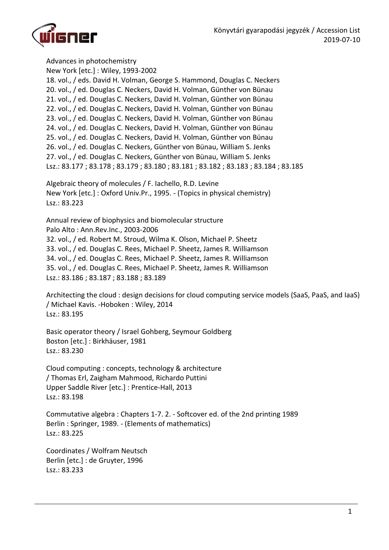

Advances in photochemistry New York [etc.] : Wiley, 1993-2002 18. vol., / eds. David H. Volman, George S. Hammond, Douglas C. Neckers 20. vol., / ed. Douglas C. Neckers, David H. Volman, Günther von Bünau 21. vol., / ed. Douglas C. Neckers, David H. Volman, Günther von Bünau 22. vol., / ed. Douglas C. Neckers, David H. Volman, Günther von Bünau 23. vol., / ed. Douglas C. Neckers, David H. Volman, Günther von Bünau 24. vol., / ed. Douglas C. Neckers, David H. Volman, Günther von Bünau 25. vol., / ed. Douglas C. Neckers, David H. Volman, Günther von Bünau 26. vol., / ed. Douglas C. Neckers, Günther von Bünau, William S. Jenks 27. vol., / ed. Douglas C. Neckers, Günther von Bünau, William S. Jenks Lsz.: 83.177 ; 83.178 ; 83.179 ; 83.180 ; 83.181 ; 83.182 ; 83.183 ; 83.184 ; 83.185

Algebraic theory of molecules / F. Iachello, R.D. Levine New York [etc.] : Oxford Univ.Pr., 1995. - (Topics in physical chemistry) Lsz.: 83.223

Annual review of biophysics and biomolecular structure Palo Alto : Ann.Rev.Inc., 2003-2006 32. vol., / ed. Robert M. Stroud, Wilma K. Olson, Michael P. Sheetz 33. vol., / ed. Douglas C. Rees, Michael P. Sheetz, James R. Williamson 34. vol., / ed. Douglas C. Rees, Michael P. Sheetz, James R. Williamson 35. vol., / ed. Douglas C. Rees, Michael P. Sheetz, James R. Williamson Lsz.: 83.186 ; 83.187 ; 83.188 ; 83.189

Architecting the cloud : design decisions for cloud computing service models (SaaS, PaaS, and IaaS) / Michael Kavis. -Hoboken : Wiley, 2014 Lsz.: 83.195

Basic operator theory / Israel Gohberg, Seymour Goldberg Boston [etc.] : Birkhäuser, 1981 Lsz.: 83.230

Cloud computing : concepts, technology & architecture / Thomas Erl, Zaigham Mahmood, Richardo Puttini Upper Saddle River [etc.] : Prentice-Hall, 2013 Lsz.: 83.198

Commutative algebra : Chapters 1-7. 2. - Softcover ed. of the 2nd printing 1989 Berlin : Springer, 1989. - (Elements of mathematics) Lsz.: 83.225

Coordinates / Wolfram Neutsch Berlin [etc.] : de Gruyter, 1996 Lsz.: 83.233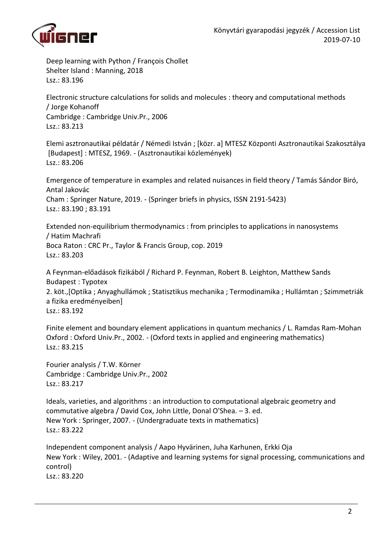

Deep learning with Python / François Chollet Shelter Island : Manning, 2018 Lsz.: 83.196

Electronic structure calculations for solids and molecules : theory and computational methods / Jorge Kohanoff Cambridge : Cambridge Univ.Pr., 2006 Lsz.: 83.213

Elemi asztronautikai példatár / Némedi István ; [közr. a] MTESZ Központi Asztronautikai Szakosztálya [Budapest] : MTESZ, 1969. - (Asztronautikai közlemények) Lsz.: 83.206

Emergence of temperature in examples and related nuisances in field theory / Tamás Sándor Biró, Antal Jakovác Cham : Springer Nature, 2019. - (Springer briefs in physics, ISSN 2191-5423) Lsz.: 83.190 ; 83.191

Extended non-equilibrium thermodynamics : from principles to applications in nanosystems / Hatim Machrafi Boca Raton : CRC Pr., Taylor & Francis Group, cop. 2019 Lsz.: 83.203

A Feynman-előadások fizikából / Richard P. Feynman, Robert B. Leighton, Matthew Sands Budapest : Typotex 2. köt.,[Optika ; Anyaghullámok ; Statisztikus mechanika ; Termodinamika ; Hullámtan ; Szimmetriák

a fizika eredményeiben] Lsz.: 83.192

Finite element and boundary element applications in quantum mechanics / L. Ramdas Ram-Mohan Oxford : Oxford Univ.Pr., 2002. - (Oxford texts in applied and engineering mathematics) Lsz.: 83.215

Fourier analysis / T.W. Körner Cambridge : Cambridge Univ.Pr., 2002 Lsz.: 83.217

Ideals, varieties, and algorithms : an introduction to computational algebraic geometry and commutative algebra / David Cox, John Little, Donal O'Shea. – 3. ed. New York : Springer, 2007. - (Undergraduate texts in mathematics) Lsz.: 83.222

Independent component analysis / Aapo Hyvärinen, Juha Karhunen, Erkki Oja New York : Wiley, 2001. - (Adaptive and learning systems for signal processing, communications and control) Lsz.: 83.220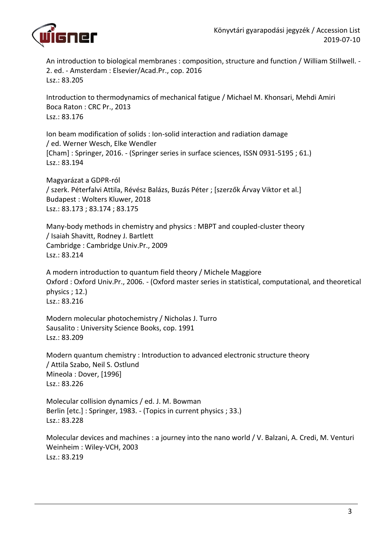

An introduction to biological membranes : composition, structure and function / William Stillwell. - 2. ed. - Amsterdam : Elsevier/Acad.Pr., cop. 2016 Lsz.: 83.205

Introduction to thermodynamics of mechanical fatigue / Michael M. Khonsari, Mehdi Amiri Boca Raton : CRC Pr., 2013 Lsz.: 83.176

Ion beam modification of solids : Ion-solid interaction and radiation damage / ed. Werner Wesch, Elke Wendler [Cham] : Springer, 2016. - (Springer series in surface sciences, ISSN 0931-5195 ; 61.) Lsz.: 83.194

Magyarázat a GDPR-ról / szerk. Péterfalvi Attila, Révész Balázs, Buzás Péter ; [szerzők Árvay Viktor et al.] Budapest : Wolters Kluwer, 2018 Lsz.: 83.173 ; 83.174 ; 83.175

Many-body methods in chemistry and physics : MBPT and coupled-cluster theory / Isaiah Shavitt, Rodney J. Bartlett Cambridge : Cambridge Univ.Pr., 2009 Lsz.: 83.214

A modern introduction to quantum field theory / Michele Maggiore Oxford : Oxford Univ.Pr., 2006. - (Oxford master series in statistical, computational, and theoretical physics ; 12.) Lsz.: 83.216

Modern molecular photochemistry / Nicholas J. Turro Sausalito : University Science Books, cop. 1991 Lsz.: 83.209

Modern quantum chemistry : Introduction to advanced electronic structure theory / Attila Szabo, Neil S. Ostlund Mineola : Dover, [1996] Lsz.: 83.226

Molecular collision dynamics / ed. J. M. Bowman Berlin [etc.] : Springer, 1983. - (Topics in current physics ; 33.) Lsz.: 83.228

Molecular devices and machines : a journey into the nano world / V. Balzani, A. Credi, M. Venturi Weinheim : Wiley-VCH, 2003 Lsz.: 83.219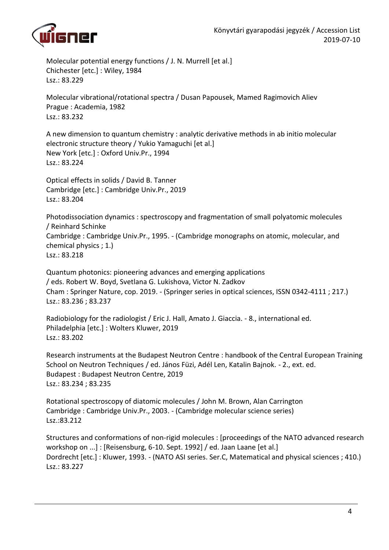

Molecular potential energy functions / J. N. Murrell [et al.] Chichester [etc.] : Wiley, 1984 Lsz.: 83.229

Molecular vibrational/rotational spectra / Dusan Papousek, Mamed Ragimovich Aliev Prague : Academia, 1982 Lsz.: 83.232

A new dimension to quantum chemistry : analytic derivative methods in ab initio molecular electronic structure theory / Yukio Yamaguchi [et al.] New York [etc.] : Oxford Univ.Pr., 1994 Lsz.: 83.224

Optical effects in solids / David B. Tanner Cambridge [etc.] : Cambridge Univ.Pr., 2019 Lsz.: 83.204

Photodissociation dynamics : spectroscopy and fragmentation of small polyatomic molecules / Reinhard Schinke Cambridge : Cambridge Univ.Pr., 1995. - (Cambridge monographs on atomic, molecular, and chemical physics ; 1.) Lsz.: 83.218

Quantum photonics: pioneering advances and emerging applications / eds. Robert W. Boyd, Svetlana G. Lukishova, Victor N. Zadkov Cham : Springer Nature, cop. 2019. - (Springer series in optical sciences, ISSN 0342-4111 ; 217.) Lsz.: 83.236 ; 83.237

Radiobiology for the radiologist / Eric J. Hall, Amato J. Giaccia. - 8., international ed. Philadelphia [etc.] : Wolters Kluwer, 2019 Lsz.: 83.202

Research instruments at the Budapest Neutron Centre : handbook of the Central European Training School on Neutron Techniques / ed. János Füzi, Adél Len, Katalin Bajnok. - 2., ext. ed. Budapest : Budapest Neutron Centre, 2019 Lsz.: 83.234 ; 83.235

Rotational spectroscopy of diatomic molecules / John M. Brown, Alan Carrington Cambridge : Cambridge Univ.Pr., 2003. - (Cambridge molecular science series) Lsz.:83.212

Structures and conformations of non-rigid molecules : [proceedings of the NATO advanced research workshop on ...] : [Reisensburg, 6-10. Sept. 1992] / ed. Jaan Laane [et al.] Dordrecht [etc.] : Kluwer, 1993. - (NATO ASI series. Ser.C, Matematical and physical sciences ; 410.) Lsz.: 83.227